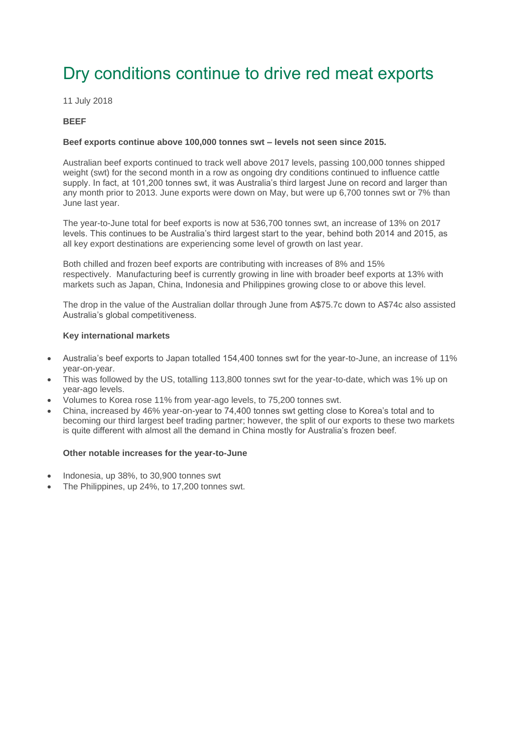### Dry conditions continue to drive red meat exports

11 July 2018

#### **BEEF**

#### **Beef exports continue above 100,000 tonnes swt – levels not seen since 2015.**

Australian beef exports continued to track well above 2017 levels, passing 100,000 tonnes shipped weight (swt) for the second month in a row as ongoing dry conditions continued to influence cattle supply. In fact, at 101,200 tonnes swt, it was Australia's third largest June on record and larger than any month prior to 2013. June exports were down on May, but were up 6,700 tonnes swt or 7% than June last year.

The year-to-June total for beef exports is now at 536,700 tonnes swt, an increase of 13% on 2017 levels. This continues to be Australia's third largest start to the year, behind both 2014 and 2015, as all key export destinations are experiencing some level of growth on last year.

Both chilled and frozen beef exports are contributing with increases of 8% and 15% respectively. Manufacturing beef is currently growing in line with broader beef exports at 13% with markets such as Japan, China, Indonesia and Philippines growing close to or above this level.

The drop in the value of the Australian dollar through June from A\$75.7c down to A\$74c also assisted Australia's global competitiveness.

#### **Key international markets**

- Australia's beef exports to Japan totalled 154,400 tonnes swt for the year-to-June, an increase of 11% year-on-year.
- This was followed by the US, totalling 113,800 tonnes swt for the year-to-date, which was 1% up on year-ago levels.
- Volumes to Korea rose 11% from year-ago levels, to 75,200 tonnes swt.
- China, increased by 46% year-on-year to 74,400 tonnes swt getting close to Korea's total and to becoming our third largest beef trading partner; however, the split of our exports to these two markets is quite different with almost all the demand in China mostly for Australia's frozen beef.

#### **Other notable increases for the year-to-June**

- Indonesia, up 38%, to 30,900 tonnes swt
- The Philippines, up 24%, to 17,200 tonnes swt.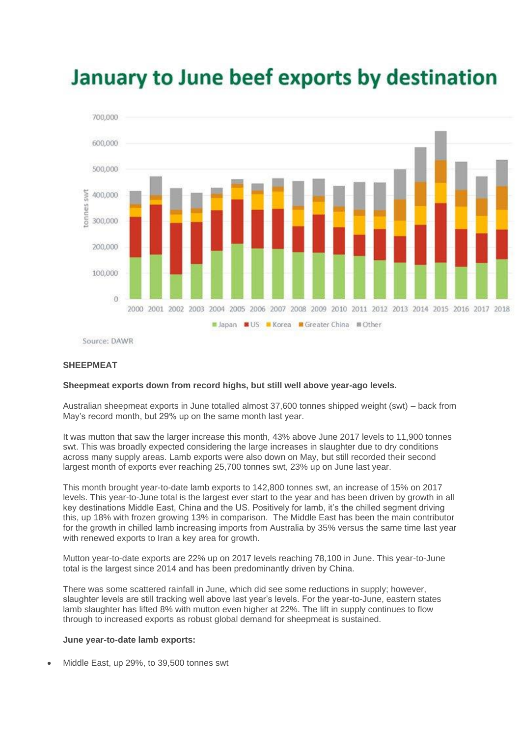

# January to June beef exports by destination

Source: DAWR

#### **SHEEPMEAT**

#### **Sheepmeat exports down from record highs, but still well above year-ago levels.**

Australian sheepmeat exports in June totalled almost 37,600 tonnes shipped weight (swt) – back from May's record month, but 29% up on the same month last year.

It was mutton that saw the larger increase this month, 43% above June 2017 levels to 11,900 tonnes swt. This was broadly expected considering the large increases in slaughter due to dry conditions across many supply areas. Lamb exports were also down on May, but still recorded their second largest month of exports ever reaching 25,700 tonnes swt, 23% up on June last year.

This month brought year-to-date lamb exports to 142,800 tonnes swt, an increase of 15% on 2017 levels. This year-to-June total is the largest ever start to the year and has been driven by growth in all key destinations Middle East, China and the US. Positively for lamb, it's the chilled segment driving this, up 18% with frozen growing 13% in comparison. The Middle East has been the main contributor for the growth in chilled lamb increasing imports from Australia by 35% versus the same time last year with renewed exports to Iran a key area for growth.

Mutton year-to-date exports are 22% up on 2017 levels reaching 78,100 in June. This year-to-June total is the largest since 2014 and has been predominantly driven by China.

There was some scattered rainfall in June, which did see some reductions in supply; however, slaughter levels are still tracking well above last year's levels. For the year-to-June, eastern states lamb slaughter has lifted 8% with mutton even higher at 22%. The lift in supply continues to flow through to increased exports as robust global demand for sheepmeat is sustained.

#### **June year-to-date lamb exports:**

• Middle East, up 29%, to 39,500 tonnes swt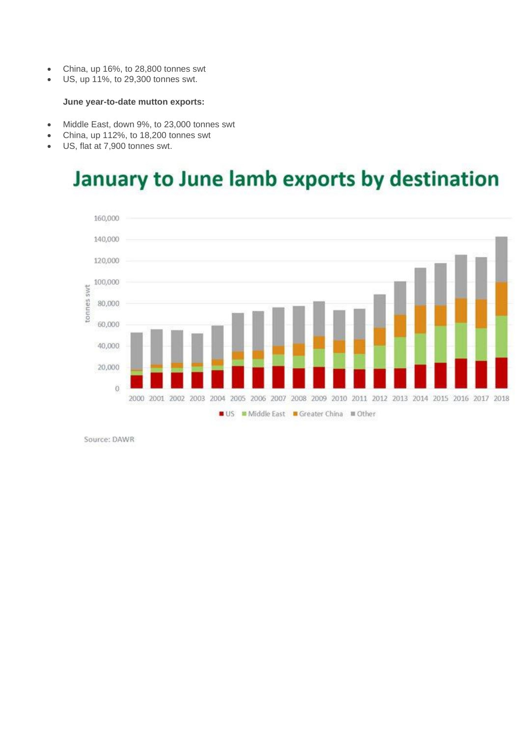- China, up 16%, to 28,800 tonnes swt
- US, up 11%, to 29,300 tonnes swt.

#### **June year-to-date mutton exports:**

- Middle East, down 9%, to 23,000 tonnes swt
- China, up 112%, to 18,200 tonnes swt
- US, flat at 7,900 tonnes swt.

## January to June lamb exports by destination



Source: DAWR